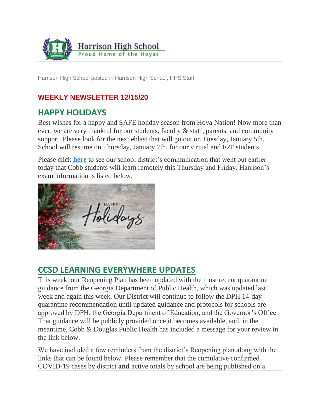

Harrison High School posted in Harrison High School, HHS Staff

### **WEEKLY NEWSLETTER 12/15/20**

## **HAPPY HOLIDAYS**

Best wishes for a happy and SAFE holiday season from Hoya Nation! Now more than ever, we are very thankful for our students, faculty & staff, parents, and community support. Please look for the next eblast that will go out on Tuesday, January 5th. School will resume on Thursday, January 7th, for our virtual and F2F students.

Please click **[here](https://www.cobbk12.org/_ci/p/37043/cobb-students-will-learn-remotely-this-thursday-and-friday)** to see our school district's communication that went out earlier today that Cobb students will learn remotely this Thursday and Friday. Harrison's exam information is listed below.



## **CCSD LEARNING EVERYWHERE UPDATES**

This week, our Reopening Plan has been updated with the most recent quarantine guidance from the Georgia Department of Public Health, which was updated last week and again this week. Our District will continue to follow the DPH 14-day quarantine recommendation until updated guidance and protocols for schools are approved by DPH, the Georgia Department of Education, and the Governor's Office. That guidance will be publicly provided once it becomes available, and, in the meantime, Cobb & Douglas Public Health has included a message for your review in the link below.

We have included a few reminders from the district's Reopening plan along with the links that can be found below. Please remember that the cumulative confirmed COVID-19 cases by district **and** active totals by school are being published on a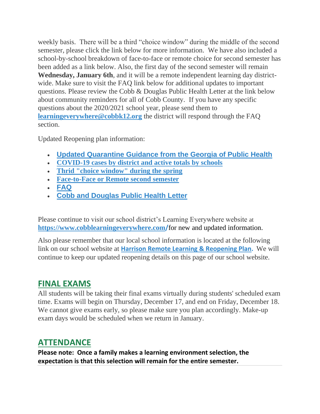weekly basis. There will be a third "choice window" during the middle of the second semester, please click the link below for more information. We have also included a school-by-school breakdown of face-to-face or remote choice for second semester has been added as a link below. Also, the first day of the second semester will remain **Wednesday, January 6th**, and it will be a remote independent learning day districtwide. Make sure to visit the FAQ link below for additional updates to important questions. Please review the Cobb & Douglas Public Health Letter at the link below about community reminders for all of Cobb County. If you have any specific questions about the 2020/2021 school year, please send them to **[learningeverywhere@cobbk12.org](mailto:learningeverywhere@cobbk12.org)** the district will respond through the FAQ section.

Updated Reopening plan information:

- **[Updated Quarantine Guidance from the Georgia of Public Health](https://www.cobbk12.org/_ci/p/36900/updated-quarantine-guidance-for-cobb-county-schools-and-an-important-message-from-cobb-douglas-public-health)**
- **[COVID-19 cases by district and active totals by schools](https://cobblearningeverywhere.com/cases/)**
- **[Thrid "choice window" during the spring](https://cobblearningeverywhere.com/news/attention-parents-third-choice-window-planned-for-spring/)**
- **[Face-to-Face or Remote second semester](https://www.cobbk12.org/_ci/p/36828/cobb-families-make-their-choice-for-the-second-semester)**
- **[FAQ](https://www.cobbk12.org/learningeverywhere/faqs)**
- **[Cobb and Douglas Public Health Letter](https://sbcobbstor.blob.core.windows.net/media/WWWCobb/fgg/5/Cobb%20Parent%20Letter%20English%2012.10.2020-1.pdf)**

Please continue to visit our school district's Learning Everywhere website at **[https://www.cobblearningeverywhere.com](https://www.cobblearningeverywhere.com/)/**for new and updated information.

Also please remember that our local school information is located at the following link on our school website at **[Harrison Remote Learning & Reopening Plan.](http://www.harrisonhigh.org/Remote-Learning-Information)** We will continue to keep our updated reopening details on this page of our school website.

## **FINAL EXAMS**

All students will be taking their final exams virtually during students' scheduled exam time. Exams will begin on Thursday, December 17, and end on Friday, December 18. We cannot give exams early, so please make sure you plan accordingly. Make-up exam days would be scheduled when we return in January.

## **ATTENDANCE**

**Please note: Once a family makes a learning environment selection, the expectation is that this selection will remain for the entire semester.**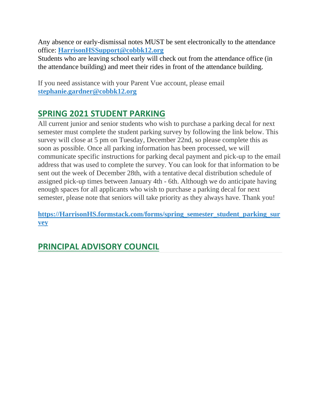Any absence or early-dismissal notes MUST be sent electronically to the attendance office: **[HarrisonHSSupport@cobbk12.org](mailto:HarrisonHSSupport@cobbk12.org)**

Students who are leaving school early will check out from the attendance office (in the attendance building) and meet their rides in front of the attendance building.

If you need assistance with your Parent Vue account, please email **[stephanie.gardner@cobbk12.org](mailto:stephanie.gardner@cobbk12.org)**

## **SPRING 2021 STUDENT PARKING**

All current junior and senior students who wish to purchase a parking decal for next semester must complete the student parking survey by following the link below. This survey will close at 5 pm on Tuesday, December 22nd, so please complete this as soon as possible. Once all parking information has been processed, we will communicate specific instructions for parking decal payment and pick-up to the email address that was used to complete the survey. You can look for that information to be sent out the week of December 28th, with a tentative decal distribution schedule of assigned pick-up times between January 4th - 6th. Although we do anticipate having enough spaces for all applicants who wish to purchase a parking decal for next semester, please note that seniors will take priority as they always have. Thank you!

**[https://HarrisonHS.formstack.com/forms/spring\\_semester\\_student\\_parking\\_sur](https://harrisonhs.formstack.com/forms/spring_semester_student_parking_survey) [vey](https://harrisonhs.formstack.com/forms/spring_semester_student_parking_survey)**

# **PRINCIPAL ADVISORY COUNCIL**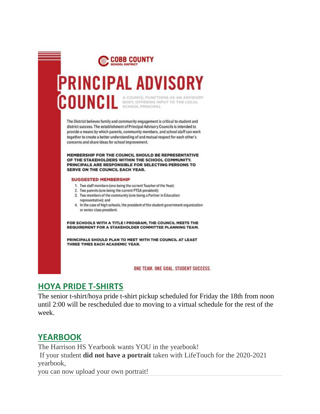

- 3. Two members of the community (one being a Partner in Education representative); and
- 4. In the case of high schools, the president of the student government organization or senior class president.

FOR SCHOOLS WITH A TITLE I PROGRAM, THE COUNCIL MEETS THE REQUIREMENT FOR A STAKEHOLDER COMMITTEE PLANNING TEAM.

PRINCIPALS SHOULD PLAN TO MEET WITH THE COUNCIL AT LEAST THREE TIMES EACH ACADEMIC YEAR.

ONE TEAM, ONE GOAL, STUDENT SUCCESS.

## **HOYA PRIDE T-SHIRTS**

The senior t-shirt/hoya pride t-shirt pickup scheduled for Friday the 18th from noon until 2:00 will be rescheduled due to moving to a virtual schedule for the rest of the week.

## **YEARBOOK**

The Harrison HS Yearbook wants YOU in the yearbook!

If your student **did not have a portrait** taken with LifeTouch for the 2020-2021 yearbook,

you can now upload your own portrait!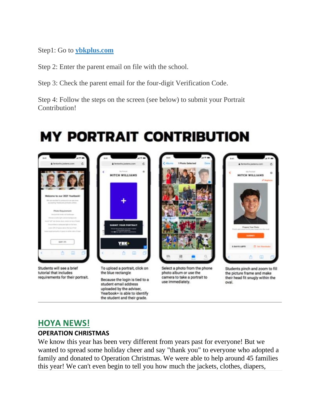Step1: Go to **[ybkplus.com](https://nam11.safelinks.protection.outlook.com/?url=http%3A%2F%2Fybkplus.com%2F&data=04%7C01%7Cmelody.madray%40cobbk12.org%7Ca78dd220d0184aec292308d89dea3d03%7C2fce1dfb919f4938aab8c47f0fc9182d%7C0%7C0%7C637432976669206382%7CUnknown%7CTWFpbGZsb3d8eyJWIjoiMC4wLjAwMDAiLCJQIjoiV2luMzIiLCJBTiI6Ik1haWwiLCJXVCI6Mn0%3D%7C1000&sdata=Xicoq7Oi8RIGH%2BbtF3vl4EcMoKbDZJ1LFhzSaSdIZuo%3D&reserved=0)**

Step 2: Enter the parent email on file with the school.

Step 3: Check the parent email for the four-digit Verification Code.

Step 4: Follow the steps on the screen (see below) to submit your Portrait Contribution!

# **MY PORTRAIT CONTRIBUTION**



Students will see a brief tutorial that includes requirements for their portrait.



To upload a portrait, click on the blue rectangle

Because the login is tied to a student email address uploaded by the adviser, Yearbook+ is able to identify the student and their grade.

Select a photo from the phone photo album or use the camera to take a portrait to use immediately.



Students pinch and zoom to fill the picture frame and make their head fit snugly within the oval.

#### **HOYA NEWS! OPERATION CHRISTMAS**

We know this year has been very different from years past for everyone! But we wanted to spread some holiday cheer and say "thank you" to everyone who adopted a family and donated to Operation Christmas. We were able to help around 45 families this year! We can't even begin to tell you how much the jackets, clothes, diapers,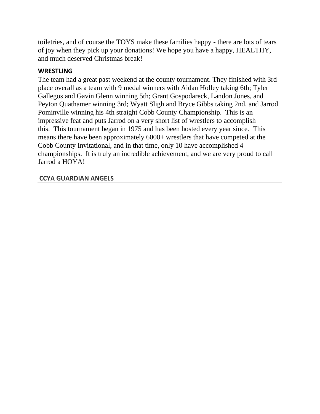toiletries, and of course the TOYS make these families happy - there are lots of tears of joy when they pick up your donations! We hope you have a happy, HEALTHY, and much deserved Christmas break!

#### **WRESTLING**

The team had a great past weekend at the county tournament. They finished with 3rd place overall as a team with 9 medal winners with Aidan Holley taking 6th; Tyler Gallegos and Gavin Glenn winning 5th; Grant Gospodareck, Landon Jones, and Peyton Quathamer winning 3rd; Wyatt Sligh and Bryce Gibbs taking 2nd, and Jarrod Pominville winning his 4th straight Cobb County Championship. This is an impressive feat and puts Jarrod on a very short list of wrestlers to accomplish this. This tournament began in 1975 and has been hosted every year since. This means there have been approximately 6000+ wrestlers that have competed at the Cobb County Invitational, and in that time, only 10 have accomplished 4 championships. It is truly an incredible achievement, and we are very proud to call Jarrod a HOYA!

#### **CCYA GUARDIAN ANGELS**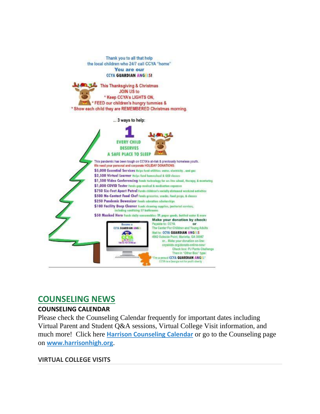

## **COUNSELING NEWS**

#### **COUNSELING CALENDAR**

Please check the Counseling Calendar frequently for important dates including Virtual Parent and Student Q&A sessions, Virtual College Visit information, and much more! Click here **[Harrison Counseling Calendar](https://calendar.google.com/calendar/embed?src=tasr4q5spailsj1itftjdtn6mk%40group.calendar.google.com&ctz=America%2FNew_York)** or go to the Counseling page on **[www.harrisonhigh.org](http://www.harrisonhigh.org/)**.

#### **VIRTUAL COLLEGE VISITS**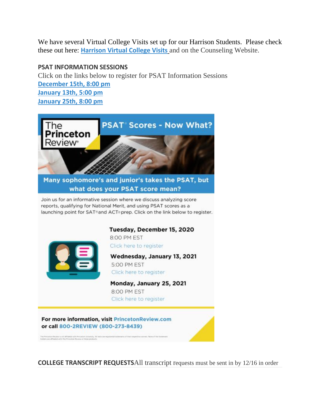We have several Virtual College Visits set up for our Harrison Students. Please check these out here: **[Harrison Virtual College Visits](https://cobbk12org-my.sharepoint.com/:x:/g/personal/leanna_kor_cobbk12_org/EWP6BGgLdCBOvhv5RDRuCVwBqHA2jXXmnAUqr7hXgxEU7w?rtime=t-E10MJN2Eg)** and on the Counseling Website.

#### **PSAT INFORMATION SESSIONS**

Click on the links below to register for PSAT Information Sessions **[December 15th, 8:00](https://www.princetonreview.com/product/offerings/466800?z=10017) pm [January 13th, 5:00 pm](https://www.princetonreview.com/product/offerings/474069?z=10017) [January 25th, 8:00 pm](https://www.princetonreview.com/product/offerings/474070?z=10017)**



**COLLEGE TRANSCRIPT REQUESTS**All transcript requests must be sent in by 12/16 in order